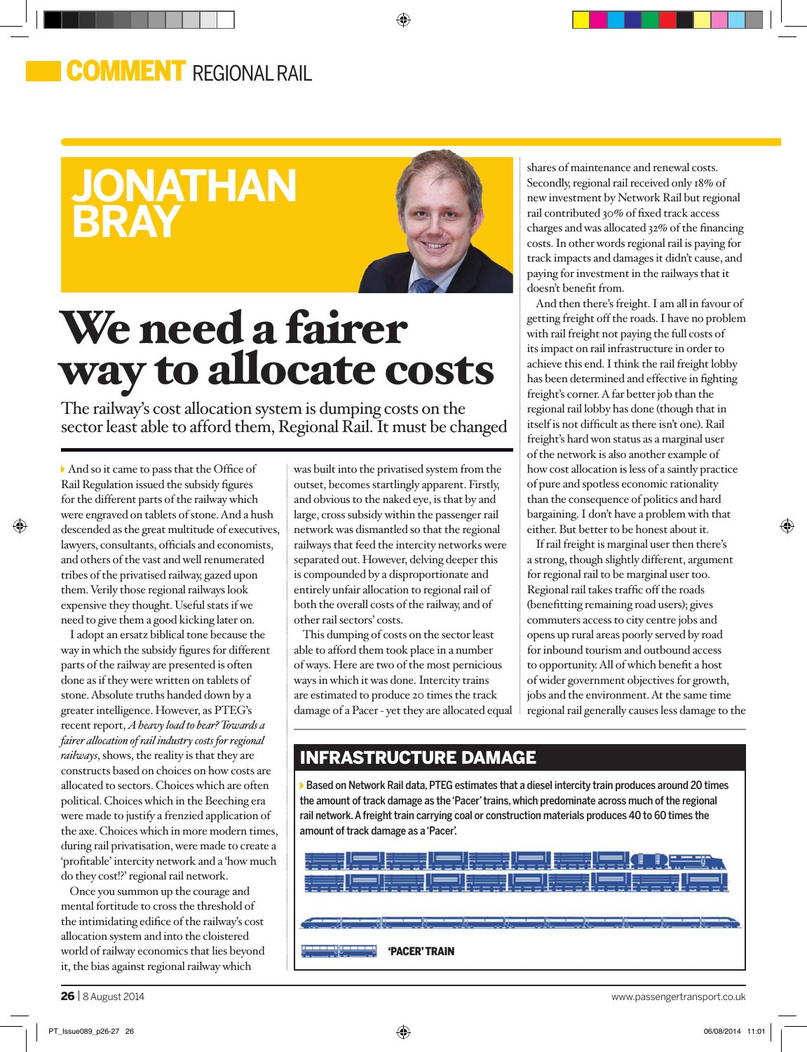## **OMMENT** REGIONAL RAIL

# **jonathan bray**



◈

# We need a fairer way to allocate costs

The railway's cost allocation system is dumping costs on the sector least able to afford them, Regional Rail. It must be changed

And so it came to pass that the Office of Rail Regulation issued the subsidy figures for the different parts of the railway which were engraved on tablets of stone. And a hush descended as the great multitude of executives, lawyers, consultants, officials and economists, and others of the vast and well renumerated tribes of the privatised railway, gazed upon them. Verily those regional railways look expensive they thought. Useful stats if we need to give them a good kicking later on.

⊕

I adopt an ersatz biblical tone because the way in which the subsidy figures for different parts of the railway are presented is often done as if they were written on tablets of stone. Absolute truths handed down by a greater intelligence. However, as PTEG's recent report, *A heavy load to bear? Towards a fairer allocation of rail industry costs for regional railways*, shows, the reality is that they are constructs based on choices on how costs are allocated to sectors. Choices which are often political. Choices which in the Beeching era were made to justify a frenzied application of the axe. Choices which in more modern times, during rail privatisation, were made to create a 'profitable' intercity network and a 'how much do they cost!?' regional rail network.

Once you summon up the courage and mental fortitude to cross the threshold of the intimidating edifice of the railway's cost allocation system and into the cloistered world of railway economics that lies beyond it, the bias against regional railway which

was built into the privatised system from the outset, becomes startlingly apparent. Firstly, and obvious to the naked eye, is that by and large, cross subsidy within the passenger rail network was dismantled so that the regional railways that feed the intercity networks were separated out. However, delving deeper this is compounded by a disproportionate and entirely unfair allocation to regional rail of both the overall costs of the railway, and of other rail sectors' costs.

This dumping of costs on the sector least able to afford them took place in a number of ways. Here are two of the most pernicious ways in which it was done. Intercity trains are estimated to produce 20 times the track damage of a Pacer - yet they are allocated equal shares of maintenance and renewal costs. Secondly, regional rail received only 18% of new investment by Network Rail but regional rail contributed 30% of fixed track access charges and was allocated 32% of the financing costs. In other words regional rail is paying for track impacts and damages it didn't cause, and paying for investment in the railways that it doesn't benefit from.

And then there's freight. I am all in favour of getting freight off the roads. I have no problem with rail freight not paying the full costs of its impact on rail infrastructure in order to achieve this end. I think the rail freight lobby has been determined and effective in fighting freight's corner. A far better job than the regional rail lobby has done (though that in itself is not difficult as there isn't one). Rail freight's hard won status as a marginal user of the network is also another example of how cost allocation is less of a saintly practice of pure and spotless economic rationality than the consequence of politics and hard bargaining. I don't have a problem with that either. But better to be honest about it.

If rail freight is marginal user then there's a strong, though slightly different, argument for regional rail to be marginal user too. Regional rail takes traffic off the roads (benefitting remaining road users); gives commuters access to city centre jobs and opens up rural areas poorly served by road for inbound tourism and outbound access to opportunity. All of which benefit a host of wider government objectives for growth, jobs and the environment. At the same time regional rail generally causes less damage to the ⊕

### infrastructure damage

Based on Network Rail data, PTEG estimates that a diesel intercity train produces around 20 times the amount of track damage as the 'Pacer' trains, which predominate across much of the regional rail network. A freight train carrying coal or construction materials produces 40 to 60 times the amount of track damage as a 'Pacer'.



26 | 8 August 2014 www.passengertransport.co.uk